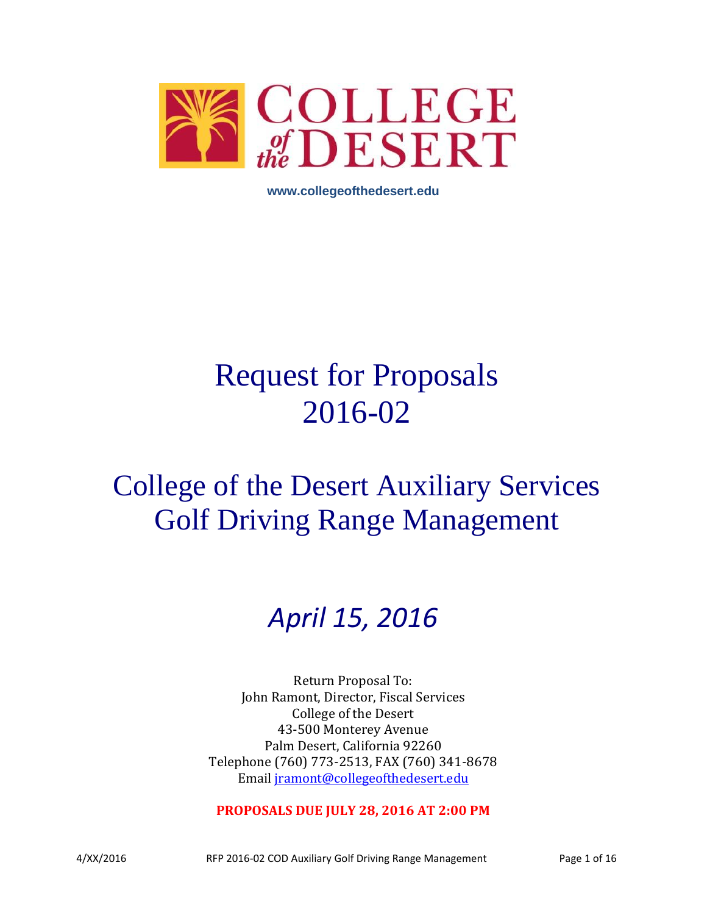

**www.collegeofthedesert.edu**

# Request for Proposals 2016-02

## College of the Desert Auxiliary Services Golf Driving Range Management

## *April 15, 2016*

Return Proposal To: John Ramont, Director, Fiscal Services College of the Desert 43-500 Monterey Avenue Palm Desert, California 92260 Telephone (760) 773-2513, FAX (760) 341-8678 Email [jramont@collegeofthedesert.edu](mailto:jramont@collegeofthedesert.edu)

**PROPOSALS DUE JULY 28, 2016 AT 2:00 PM**

4/XX/2016 RFP 2016-02 COD Auxiliary Golf Driving Range Management Page 1 of 16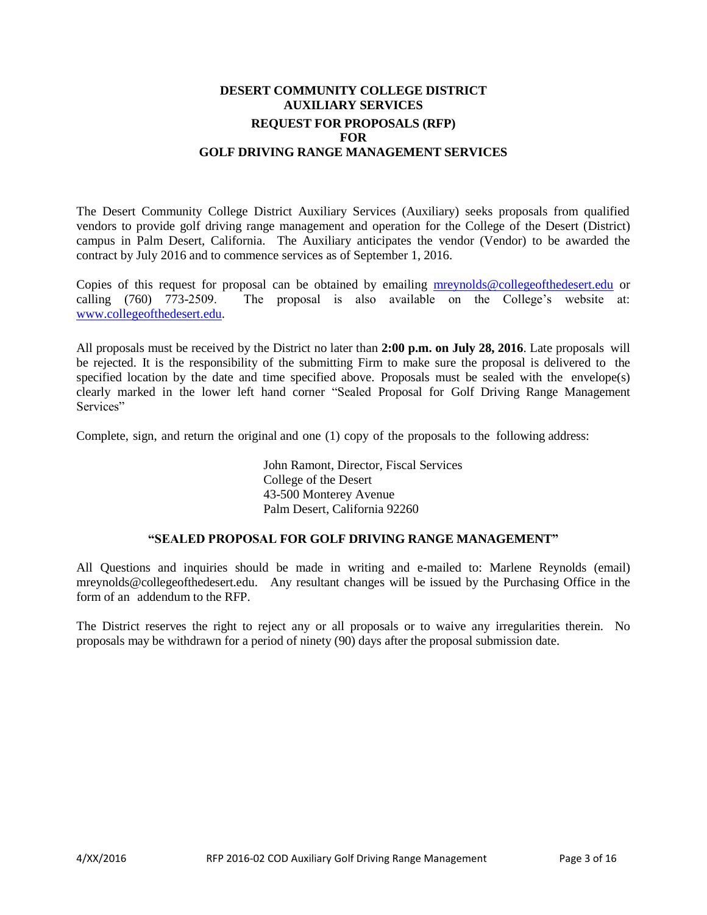## **DESERT COMMUNITY COLLEGE DISTRICT AUXILIARY SERVICES REQUEST FOR PROPOSALS (RFP) FOR GOLF DRIVING RANGE MANAGEMENT SERVICES**

The Desert Community College District Auxiliary Services (Auxiliary) seeks proposals from qualified vendors to provide golf driving range management and operation for the College of the Desert (District) campus in Palm Desert, California. The Auxiliary anticipates the vendor (Vendor) to be awarded the contract by July 2016 and to commence services as of September 1, 2016.

Copies of this request for proposal can be obtained by emailing [mreynolds@collegeofthedesert.edu](mailto:mreynolds@collegeofthedesert.edu) or calling (760) 773-2509. The proposal is also available on the College's website at: [www.collegeofthedesert.edu.](http://www.collegeofthedesert.edu/)

All proposals must be received by the District no later than **2:00 p.m. on July 28, 2016**. Late proposals will be rejected. It is the responsibility of the submitting Firm to make sure the proposal is delivered to the specified location by the date and time specified above. Proposals must be sealed with the envelope(s) clearly marked in the lower left hand corner "Sealed Proposal for Golf Driving Range Management Services"

Complete, sign, and return the original and one (1) copy of the proposals to the following address:

John Ramont, Director, Fiscal Services College of the Desert 43-500 Monterey Avenue Palm Desert, California 92260

#### **"SEALED PROPOSAL FOR GOLF DRIVING RANGE MANAGEMENT"**

All Questions and inquiries should be made in writing and e-mailed to: Marlene Reynolds (email[\)](mailto:majd.askar@rccd.edu) mreynolds@collegeofthedesert.edu. Any resultant changes will be issued by the Purchasing Office in the form of an addendum to the RFP.

The District reserves the right to reject any or all proposals or to waive any irregularities therein. No proposals may be withdrawn for a period of ninety (90) days after the proposal submission date.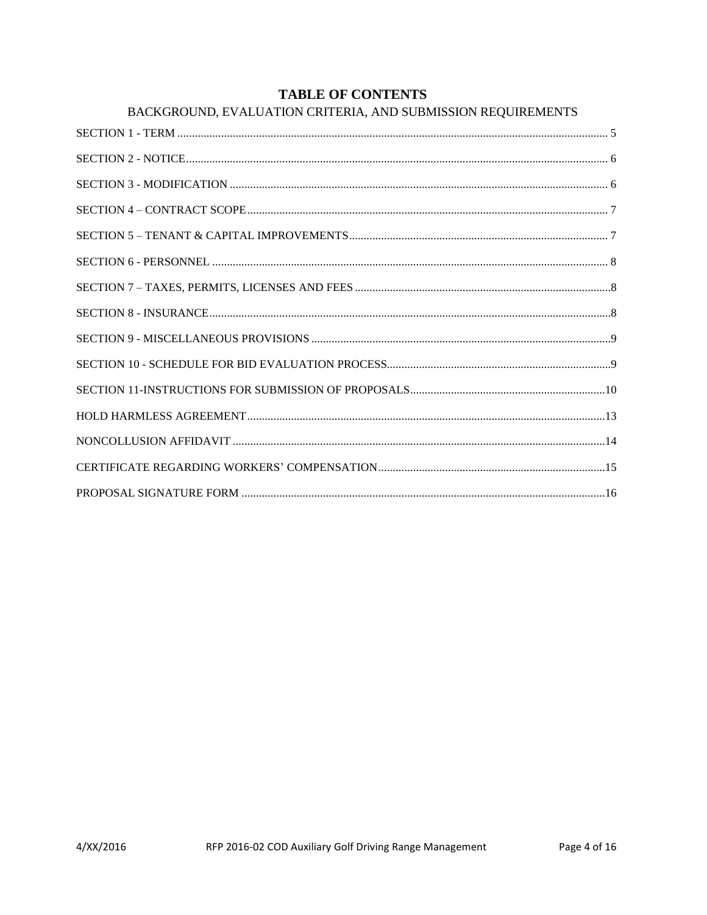## **TABLE OF CONTENTS**

| BACKGROUND, EVALUATION CRITERIA, AND SUBMISSION REQUIREMENTS |  |
|--------------------------------------------------------------|--|
|                                                              |  |
|                                                              |  |
|                                                              |  |
|                                                              |  |
|                                                              |  |
|                                                              |  |
|                                                              |  |
|                                                              |  |
|                                                              |  |
|                                                              |  |
|                                                              |  |
|                                                              |  |
|                                                              |  |
|                                                              |  |
|                                                              |  |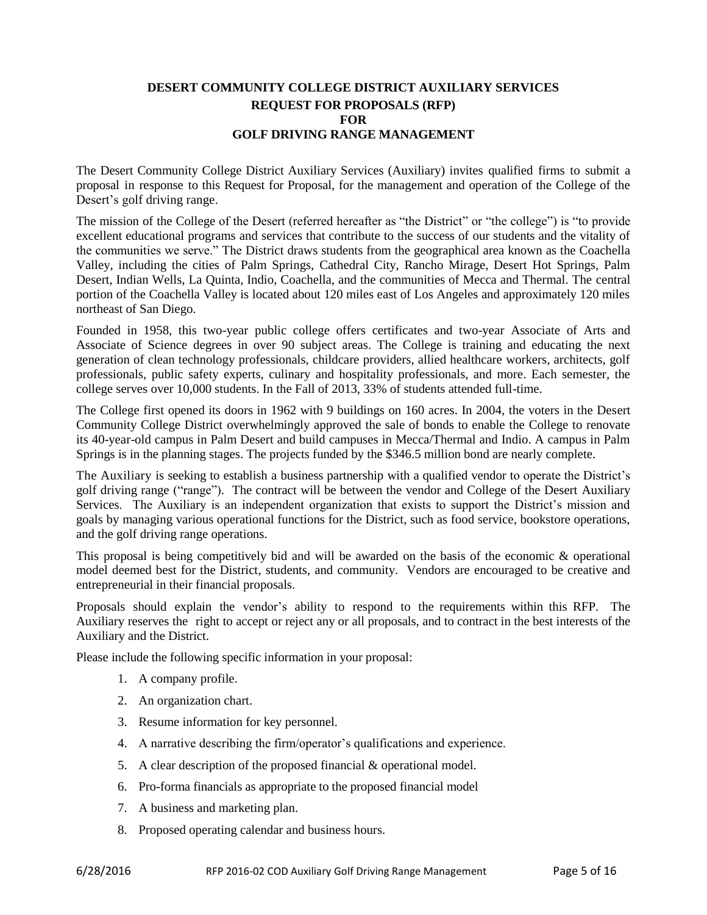## **DESERT COMMUNITY COLLEGE DISTRICT AUXILIARY SERVICES REQUEST FOR PROPOSALS (RFP) FOR GOLF DRIVING RANGE MANAGEMENT**

The Desert Community College District Auxiliary Services (Auxiliary) invites qualified firms to submit a proposal in response to this Request for Proposal, for the management and operation of the College of the Desert's golf driving range.

The mission of the College of the Desert (referred hereafter as "the District" or "the college") is "to provide excellent educational programs and services that contribute to the success of our students and the vitality of the communities we serve." The District draws students from the geographical area known as the Coachella Valley, including the cities of Palm Springs, Cathedral City, Rancho Mirage, Desert Hot Springs, Palm Desert, Indian Wells, La Quinta, Indio, Coachella, and the communities of Mecca and Thermal. The central portion of the Coachella Valley is located about 120 miles east of Los Angeles and approximately 120 miles northeast of San Diego.

Founded in 1958, this two-year public college offers certificates and two-year Associate of Arts and Associate of Science degrees in over 90 subject areas. The College is training and educating the next generation of clean technology professionals, childcare providers, allied healthcare workers, architects, golf professionals, public safety experts, culinary and hospitality professionals, and more. Each semester, the college serves over 10,000 students. In the Fall of 2013, 33% of students attended full-time.

The College first opened its doors in 1962 with 9 buildings on 160 acres. In 2004, the voters in the Desert Community College District overwhelmingly approved the sale of bonds to enable the College to renovate its 40-year-old campus in Palm Desert and build campuses in Mecca/Thermal and Indio. A campus in Palm Springs is in the planning stages. The projects funded by the \$346.5 million bond are nearly complete.

The Auxiliary is seeking to establish a business partnership with a qualified vendor to operate the District's golf driving range ("range"). The contract will be between the vendor and College of the Desert Auxiliary Services. The Auxiliary is an independent organization that exists to support the District's mission and goals by managing various operational functions for the District, such as food service, bookstore operations, and the golf driving range operations.

This proposal is being competitively bid and will be awarded on the basis of the economic & operational model deemed best for the District, students, and community. Vendors are encouraged to be creative and entrepreneurial in their financial proposals.

Proposals should explain the vendor's ability to respond to the requirements within this RFP. The Auxiliary reserves the right to accept or reject any or all proposals, and to contract in the best interests of the Auxiliary and the District.

Please include the following specific information in your proposal:

- 1. A company profile.
- 2. An organization chart.
- 3. Resume information for key personnel.
- 4. A narrative describing the firm/operator's qualifications and experience.
- 5. A clear description of the proposed financial & operational model.
- 6. Pro-forma financials as appropriate to the proposed financial model
- 7. A business and marketing plan.
- 8. Proposed operating calendar and business hours.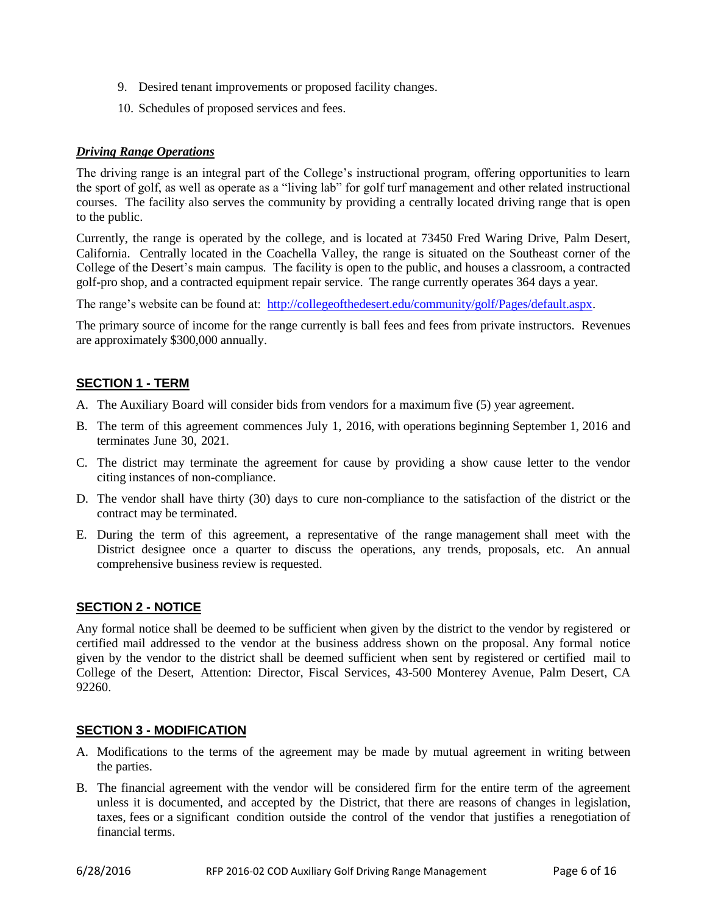- 9. Desired tenant improvements or proposed facility changes.
- 10. Schedules of proposed services and fees.

#### *Driving Range Operations*

The driving range is an integral part of the College's instructional program, offering opportunities to learn the sport of golf, as well as operate as a "living lab" for golf turf management and other related instructional courses. The facility also serves the community by providing a centrally located driving range that is open to the public.

Currently, the range is operated by the college, and is located at 73450 Fred Waring Drive, Palm Desert, California. Centrally located in the Coachella Valley, the range is situated on the Southeast corner of the College of the Desert's main campus. The facility is open to the public, and houses a classroom, a contracted golf-pro shop, and a contracted equipment repair service. The range currently operates 364 days a year.

The range's website can be found at: [http://collegeofthedesert.edu/community/golf/Pages/default.aspx.](http://collegeofthedesert.edu/community/golf/Pages/default.aspx)

The primary source of income for the range currently is ball fees and fees from private instructors. Revenues are approximately \$300,000 annually.

## <span id="page-5-0"></span>**SECTION 1 - TERM**

- A. The Auxiliary Board will consider bids from vendors for a maximum five (5) year agreement.
- B. The term of this agreement commences July 1, 2016, with operations beginning September 1, 2016 and terminates June 30, 2021.
- C. The district may terminate the agreement for cause by providing a show cause letter to the vendor citing instances of non-compliance.
- D. The vendor shall have thirty (30) days to cure non-compliance to the satisfaction of the district or the contract may be terminated.
- E. During the term of this agreement, a representative of the range management shall meet with the District designee once a quarter to discuss the operations, any trends, proposals, etc. An annual comprehensive business review is requested.

## <span id="page-5-1"></span>**SECTION 2 - NOTICE**

Any formal notice shall be deemed to be sufficient when given by the district to the vendor by registered or certified mail addressed to the vendor at the business address shown on the proposal. Any formal notice given by the vendor to the district shall be deemed sufficient when sent by registered or certified mail to College of the Desert, Attention: Director, Fiscal Services, 43-500 Monterey Avenue, Palm Desert, CA 92260.

## <span id="page-5-2"></span>**SECTION 3 - MODIFICATION**

- A. Modifications to the terms of the agreement may be made by mutual agreement in writing between the parties.
- B. The financial agreement with the vendor will be considered firm for the entire term of the agreement unless it is documented, and accepted by the District, that there are reasons of changes in legislation, taxes, fees or a significant condition outside the control of the vendor that justifies a renegotiation of financial terms.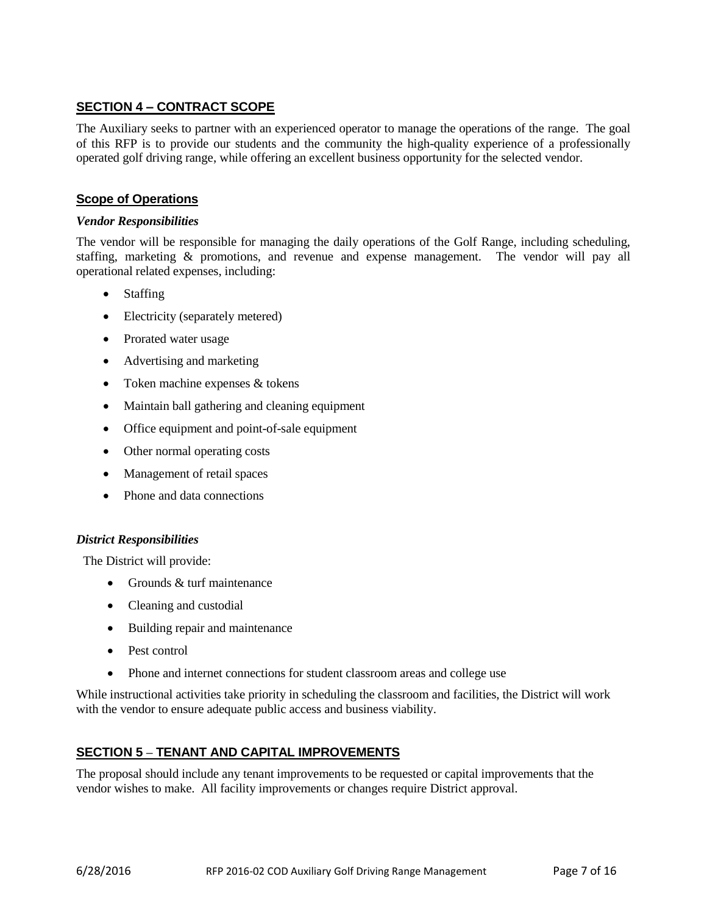## <span id="page-6-0"></span>**SECTION 4 – CONTRACT SCOPE**

The Auxiliary seeks to partner with an experienced operator to manage the operations of the range. The goal of this RFP is to provide our students and the community the high-quality experience of a professionally operated golf driving range, while offering an excellent business opportunity for the selected vendor.

## **Scope of Operations**

#### *Vendor Responsibilities*

The vendor will be responsible for managing the daily operations of the Golf Range, including scheduling, staffing, marketing & promotions, and revenue and expense management. The vendor will pay all operational related expenses, including:

- Staffing
- Electricity (separately metered)
- Prorated water usage
- Advertising and marketing
- Token machine expenses & tokens
- Maintain ball gathering and cleaning equipment
- Office equipment and point-of-sale equipment
- Other normal operating costs
- Management of retail spaces
- Phone and data connections

#### *District Responsibilities*

The District will provide:

- Grounds  $&$  turf maintenance
- Cleaning and custodial
- Building repair and maintenance
- Pest control
- Phone and internet connections for student classroom areas and college use

While instructional activities take priority in scheduling the classroom and facilities, the District will work with the vendor to ensure adequate public access and business viability.

## **SECTION 5 – TENANT AND CAPITAL IMPROVEMENTS**

The proposal should include any tenant improvements to be requested or capital improvements that the vendor wishes to make. All facility improvements or changes require District approval.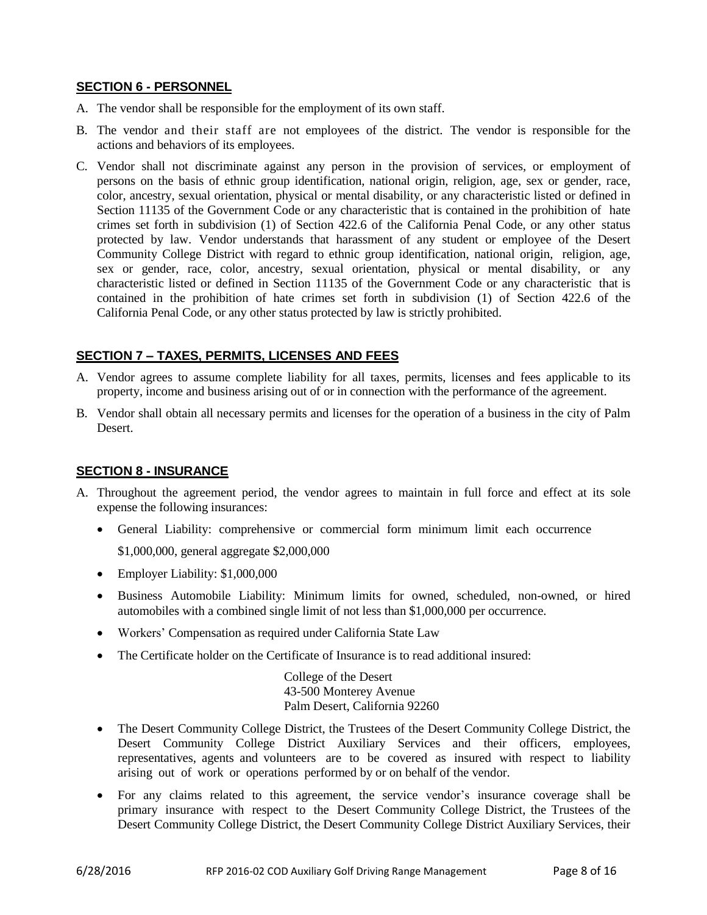## **SECTION 6 - PERSONNEL**

- A. The vendor shall be responsible for the employment of its own staff.
- B. The vendor and their staff are not employees of the district. The vendor is responsible for the actions and behaviors of its employees.
- C. Vendor shall not discriminate against any person in the provision of services, or employment of persons on the basis of ethnic group identification, national origin, religion, age, sex or gender, race, color, ancestry, sexual orientation, physical or mental disability, or any characteristic listed or defined in Section 11135 of the Government Code or any characteristic that is contained in the prohibition of hate crimes set forth in subdivision (1) of Section 422.6 of the California Penal Code, or any other status protected by law. Vendor understands that harassment of any student or employee of the Desert Community College District with regard to ethnic group identification, national origin, religion, age, sex or gender, race, color, ancestry, sexual orientation, physical or mental disability, or any characteristic listed or defined in Section 11135 of the Government Code or any characteristic that is contained in the prohibition of hate crimes set forth in subdivision (1) of Section 422.6 of the California Penal Code, or any other status protected by law is strictly prohibited.

## <span id="page-7-0"></span>**SECTION 7 – TAXES, PERMITS, LICENSES AND FEES**

- A. Vendor agrees to assume complete liability for all taxes, permits, licenses and fees applicable to its property, income and business arising out of or in connection with the performance of the agreement.
- B. Vendor shall obtain all necessary permits and licenses for the operation of a business in the city of Palm Desert.

#### <span id="page-7-1"></span>**SECTION 8 - INSURANCE**

- A. Throughout the agreement period, the vendor agrees to maintain in full force and effect at its sole expense the following insurances:
	- General Liability: comprehensive or commercial form minimum limit each occurrence

\$1,000,000, general aggregate \$2,000,000

- Employer Liability: \$1,000,000
- Business Automobile Liability: Minimum limits for owned, scheduled, non-owned, or hired automobiles with a combined single limit of not less than \$1,000,000 per occurrence.
- Workers' Compensation as required under California State Law
- The Certificate holder on the Certificate of Insurance is to read additional insured:

College of the Desert 43-500 Monterey Avenue Palm Desert, California 92260

- The Desert Community College District, the Trustees of the Desert Community College District, the Desert Community College District Auxiliary Services and their officers, employees, representatives, agents and volunteers are to be covered as insured with respect to liability arising out of work or operations performed by or on behalf of the vendor.
- For any claims related to this agreement, the service vendor's insurance coverage shall be primary insurance with respect to the Desert Community College District, the Trustees of the Desert Community College District, the Desert Community College District Auxiliary Services, their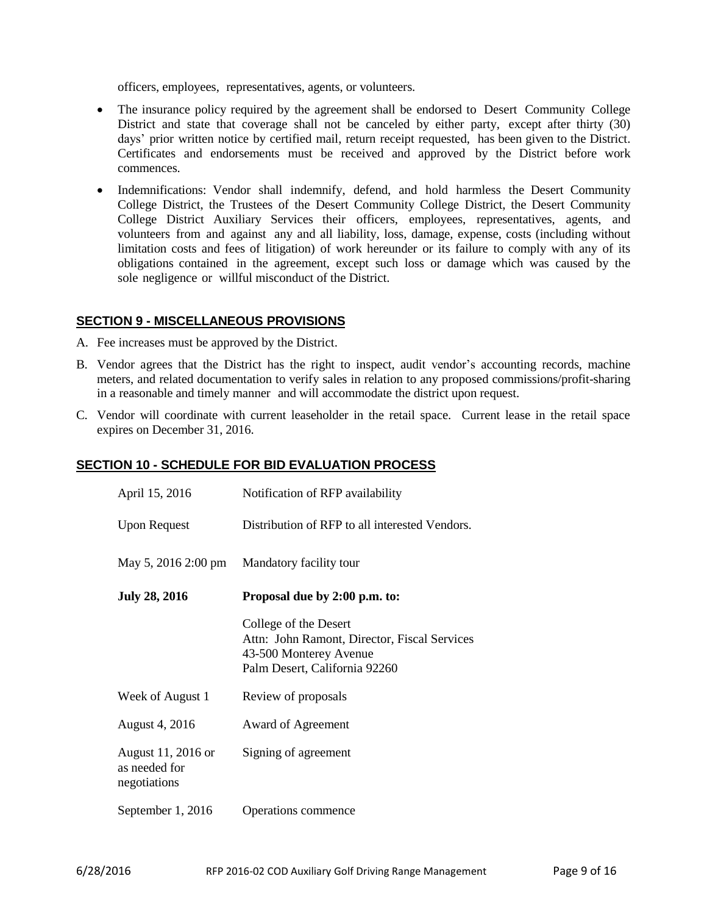officers, employees, representatives, agents, or volunteers.

- The insurance policy required by the agreement shall be endorsed to Desert Community College District and state that coverage shall not be canceled by either party, except after thirty (30) days' prior written notice by certified mail, return receipt requested, has been given to the District. Certificates and endorsements must be received and approved by the District before work commences.
- Indemnifications: Vendor shall indemnify, defend, and hold harmless the Desert Community College District, the Trustees of the Desert Community College District, the Desert Community College District Auxiliary Services their officers, employees, representatives, agents, and volunteers from and against any and all liability, loss, damage, expense, costs (including without limitation costs and fees of litigation) of work hereunder or its failure to comply with any of its obligations contained in the agreement, except such loss or damage which was caused by the sole negligence or willful misconduct of the District.

## <span id="page-8-0"></span>**SECTION 9 - MISCELLANEOUS PROVISIONS**

- A. Fee increases must be approved by the District.
- B. Vendor agrees that the District has the right to inspect, audit vendor's accounting records, machine meters, and related documentation to verify sales in relation to any proposed commissions/profit-sharing in a reasonable and timely manner and will accommodate the district upon request.
- C. Vendor will coordinate with current leaseholder in the retail space. Current lease in the retail space expires on December 31, 2016.

#### **SECTION 10 - SCHEDULE FOR BID EVALUATION PROCESS**

<span id="page-8-1"></span>

| April 15, 2016                                      | Notification of RFP availability                                                                                                 |
|-----------------------------------------------------|----------------------------------------------------------------------------------------------------------------------------------|
| <b>Upon Request</b>                                 | Distribution of RFP to all interested Vendors.                                                                                   |
| May 5, 2016 2:00 pm                                 | Mandatory facility tour                                                                                                          |
| <b>July 28, 2016</b>                                | Proposal due by 2:00 p.m. to:                                                                                                    |
|                                                     | College of the Desert<br>Attn: John Ramont, Director, Fiscal Services<br>43-500 Monterey Avenue<br>Palm Desert, California 92260 |
| Week of August 1                                    | Review of proposals                                                                                                              |
| August 4, 2016                                      | Award of Agreement                                                                                                               |
| August 11, 2016 or<br>as needed for<br>negotiations | Signing of agreement                                                                                                             |
| September 1, 2016                                   | Operations commence                                                                                                              |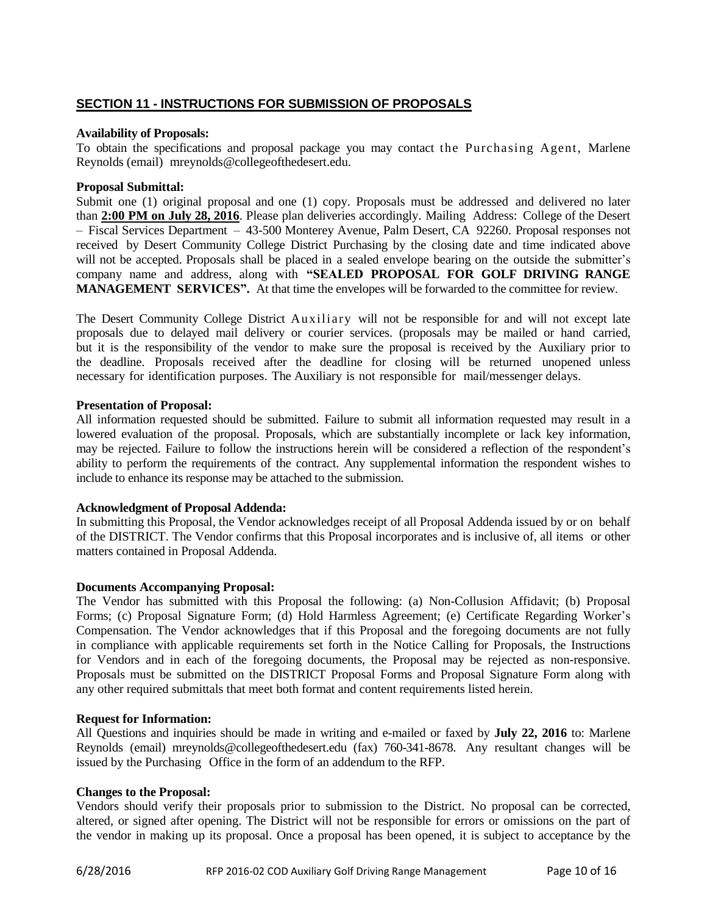## **SECTION 11 - INSTRUCTIONS FOR SUBMISSION OF PROPOSALS**

#### **Availability of Proposals:**

To obtain the specifications and proposal package you may contact the Purchasing Agent, Marlene Reynolds (email[\)](mailto:majd.askar@rccd.edu) mreynolds@collegeofthedesert.edu.

#### **Proposal Submittal:**

Submit one (1) original proposal and one (1) copy. Proposals must be addressed and delivered no later than **2:00 PM on July 28, 2016**. Please plan deliveries accordingly. Mailing Address: College of the Desert – Fiscal Services Department – 43-500 Monterey Avenue, Palm Desert, CA 92260. Proposal responses not received by Desert Community College District Purchasing by the closing date and time indicated above will not be accepted. Proposals shall be placed in a sealed envelope bearing on the outside the submitter's company name and address, along with **"SEALED PROPOSAL FOR GOLF DRIVING RANGE MANAGEMENT SERVICES".** At that time the envelopes will be forwarded to the committee for review.

The Desert Community College District Auxiliary will not be responsible for and will not except late proposals due to delayed mail delivery or courier services. (proposals may be mailed or hand carried, but it is the responsibility of the vendor to make sure the proposal is received by the Auxiliary prior to the deadline. Proposals received after the deadline for closing will be returned unopened unless necessary for identification purposes. The Auxiliary is not responsible for mail/messenger delays.

#### **Presentation of Proposal:**

All information requested should be submitted. Failure to submit all information requested may result in a lowered evaluation of the proposal. Proposals, which are substantially incomplete or lack key information, may be rejected. Failure to follow the instructions herein will be considered a reflection of the respondent's ability to perform the requirements of the contract. Any supplemental information the respondent wishes to include to enhance its response may be attached to the submission.

#### **Acknowledgment of Proposal Addenda:**

In submitting this Proposal, the Vendor acknowledges receipt of all Proposal Addenda issued by or on behalf of the DISTRICT. The Vendor confirms that this Proposal incorporates and is inclusive of, all items or other matters contained in Proposal Addenda.

#### **Documents Accompanying Proposal:**

The Vendor has submitted with this Proposal the following: (a) Non-Collusion Affidavit; (b) Proposal Forms; (c) Proposal Signature Form; (d) Hold Harmless Agreement; (e) Certificate Regarding Worker's Compensation. The Vendor acknowledges that if this Proposal and the foregoing documents are not fully in compliance with applicable requirements set forth in the Notice Calling for Proposals, the Instructions for Vendors and in each of the foregoing documents, the Proposal may be rejected as non-responsive. Proposals must be submitted on the DISTRICT Proposal Forms and Proposal Signature Form along with any other required submittals that meet both format and content requirements listed herein.

#### **Request for Information:**

All Questions and inquiries should be made in writing and e-mailed or faxed by **July 22, 2016** to: Marlene Reynolds (email) mreynolds@collegeofthedesert.edu (fax) 760-341-8678. Any resultant changes will be issued by the Purchasing Office in the form of an addendum to the RFP.

#### **Changes to the Proposal:**

Vendors should verify their proposals prior to submission to the District. No proposal can be corrected, altered, or signed after opening. The District will not be responsible for errors or omissions on the part of the vendor in making up its proposal. Once a proposal has been opened, it is subject to acceptance by the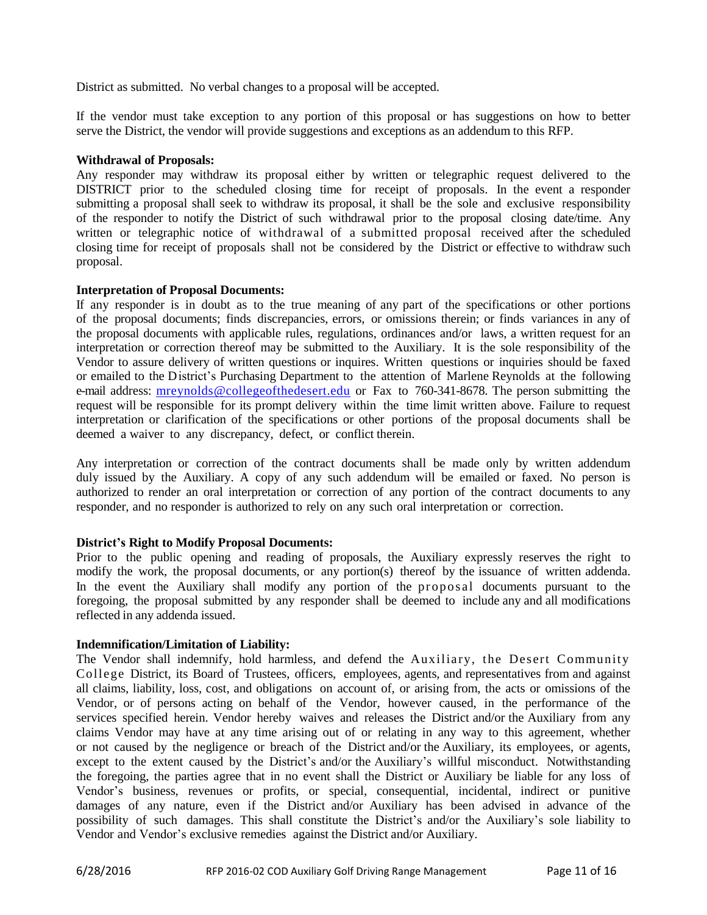District as submitted. No verbal changes to a proposal will be accepted.

If the vendor must take exception to any portion of this proposal or has suggestions on how to better serve the District, the vendor will provide suggestions and exceptions as an addendum to this RFP.

#### **Withdrawal of Proposals:**

Any responder may withdraw its proposal either by written or telegraphic request delivered to the DISTRICT prior to the scheduled closing time for receipt of proposals. In the event a responder submitting a proposal shall seek to withdraw its proposal, it shall be the sole and exclusive responsibility of the responder to notify the District of such withdrawal prior to the proposal closing date/time. Any written or telegraphic notice of withdrawal of a submitted proposal received after the scheduled closing time for receipt of proposals shall not be considered by the District or effective to withdraw such proposal.

#### **Interpretation of Proposal Documents:**

If any responder is in doubt as to the true meaning of any part of the specifications or other portions of the proposal documents; finds discrepancies, errors, or omissions therein; or finds variances in any of the proposal documents with applicable rules, regulations, ordinances and/or laws, a written request for an interpretation or correction thereof may be submitted to the Auxiliary. It is the sole responsibility of the Vendor to assure delivery of written questions or inquires. Written questions or inquiries should be faxed or emailed to the District's Purchasing Department to the attention of Marlene Reynolds at the following e-mail address: [mreynolds@collegeofthedesert.edu](mailto:mreynolds@collegeofthedesert.edu) or Fax to 760-341-8678. The person submitting the request will be responsible for its prompt delivery within the time limit written above. Failure to request interpretation or clarification of the specifications or other portions of the proposal documents shall be deemed a waiver to any discrepancy, defect, or conflict therein.

Any interpretation or correction of the contract documents shall be made only by written addendum duly issued by the Auxiliary. A copy of any such addendum will be emailed or faxed. No person is authorized to render an oral interpretation or correction of any portion of the contract documents to any responder, and no responder is authorized to rely on any such oral interpretation or correction.

#### **District's Right to Modify Proposal Documents:**

Prior to the public opening and reading of proposals, the Auxiliary expressly reserves the right to modify the work, the proposal documents, or any portion(s) thereof by the issuance of written addenda. In the event the Auxiliary shall modify any portion of the proposal documents pursuant to the foregoing, the proposal submitted by any responder shall be deemed to include any and all modifications reflected in any addenda issued.

#### **Indemnification/Limitation of Liability:**

The Vendor shall indemnify, hold harmless, and defend the Auxiliary, the Desert Community College District, its Board of Trustees, officers, employees, agents, and representatives from and against all claims, liability, loss, cost, and obligations on account of, or arising from, the acts or omissions of the Vendor, or of persons acting on behalf of the Vendor, however caused, in the performance of the services specified herein. Vendor hereby waives and releases the District and/or the Auxiliary from any claims Vendor may have at any time arising out of or relating in any way to this agreement, whether or not caused by the negligence or breach of the District and/or the Auxiliary, its employees, or agents, except to the extent caused by the District's and/or the Auxiliary's willful misconduct. Notwithstanding the foregoing, the parties agree that in no event shall the District or Auxiliary be liable for any loss of Vendor's business, revenues or profits, or special, consequential, incidental, indirect or punitive damages of any nature, even if the District and/or Auxiliary has been advised in advance of the possibility of such damages. This shall constitute the District's and/or the Auxiliary's sole liability to Vendor and Vendor's exclusive remedies against the District and/or Auxiliary.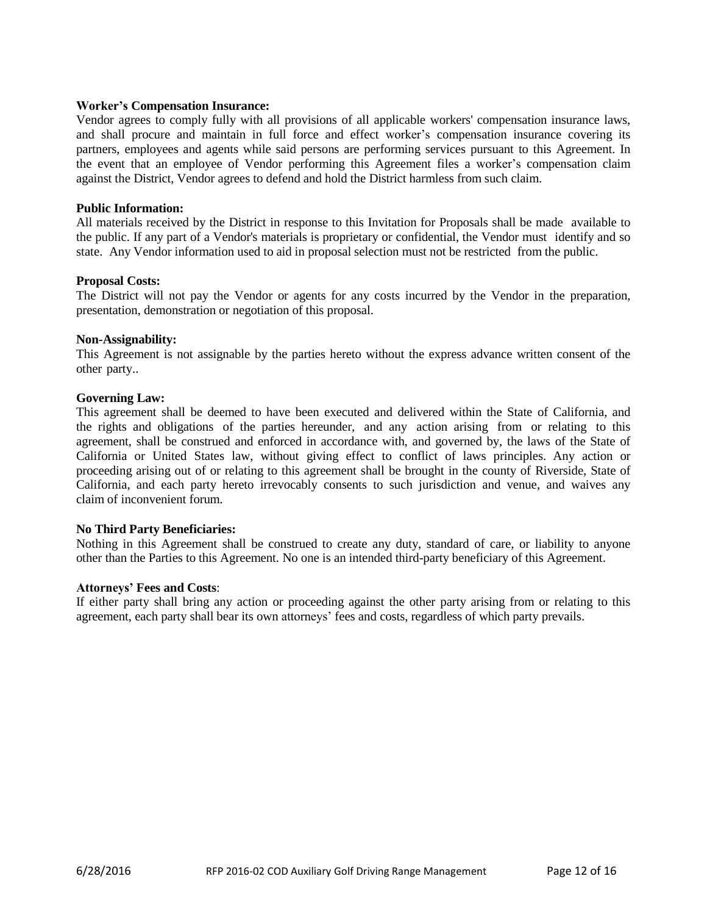#### **Worker's Compensation Insurance:**

Vendor agrees to comply fully with all provisions of all applicable workers' compensation insurance laws, and shall procure and maintain in full force and effect worker's compensation insurance covering its partners, employees and agents while said persons are performing services pursuant to this Agreement. In the event that an employee of Vendor performing this Agreement files a worker's compensation claim against the District, Vendor agrees to defend and hold the District harmless from such claim.

#### **Public Information:**

All materials received by the District in response to this Invitation for Proposals shall be made available to the public. If any part of a Vendor's materials is proprietary or confidential, the Vendor must identify and so state. Any Vendor information used to aid in proposal selection must not be restricted from the public.

#### **Proposal Costs:**

The District will not pay the Vendor or agents for any costs incurred by the Vendor in the preparation, presentation, demonstration or negotiation of this proposal.

#### **Non-Assignability:**

This Agreement is not assignable by the parties hereto without the express advance written consent of the other party..

#### **Governing Law:**

This agreement shall be deemed to have been executed and delivered within the State of California, and the rights and obligations of the parties hereunder, and any action arising from or relating to this agreement, shall be construed and enforced in accordance with, and governed by, the laws of the State of California or United States law, without giving effect to conflict of laws principles. Any action or proceeding arising out of or relating to this agreement shall be brought in the county of Riverside, State of California, and each party hereto irrevocably consents to such jurisdiction and venue, and waives any claim of inconvenient forum.

#### **No Third Party Beneficiaries:**

Nothing in this Agreement shall be construed to create any duty, standard of care, or liability to anyone other than the Parties to this Agreement. No one is an intended third-party beneficiary of this Agreement.

#### **Attorneys' Fees and Costs**:

If either party shall bring any action or proceeding against the other party arising from or relating to this agreement, each party shall bear its own attorneys' fees and costs, regardless of which party prevails.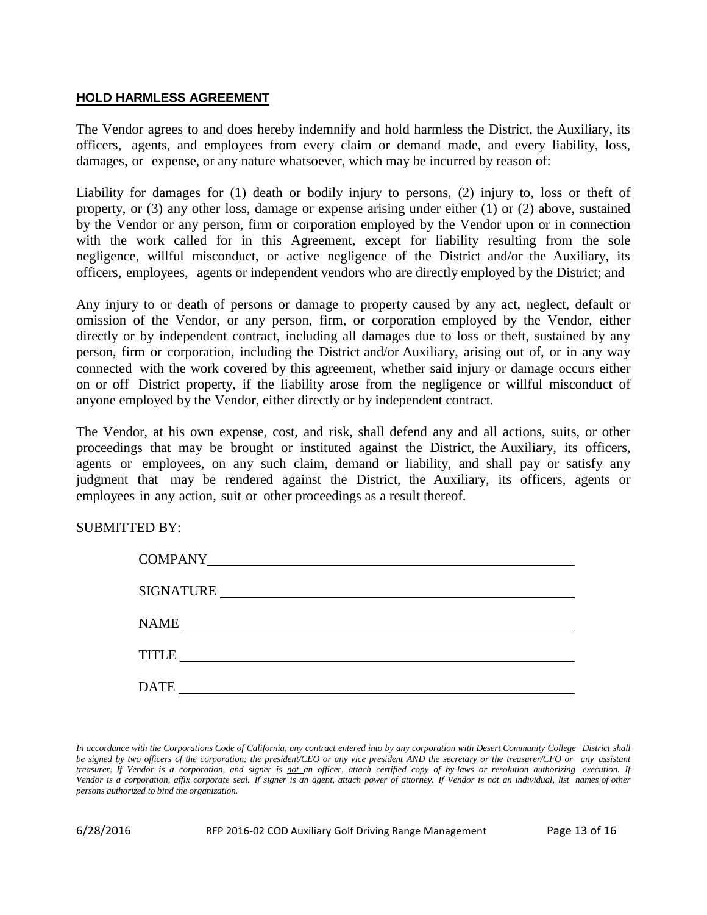## <span id="page-12-0"></span>**HOLD HARMLESS AGREEMENT**

The Vendor agrees to and does hereby indemnify and hold harmless the District, the Auxiliary, its officers, agents, and employees from every claim or demand made, and every liability, loss, damages, or expense, or any nature whatsoever, which may be incurred by reason of:

Liability for damages for (1) death or bodily injury to persons, (2) injury to, loss or theft of property, or (3) any other loss, damage or expense arising under either (1) or (2) above, sustained by the Vendor or any person, firm or corporation employed by the Vendor upon or in connection with the work called for in this Agreement, except for liability resulting from the sole negligence, willful misconduct, or active negligence of the District and/or the Auxiliary, its officers, employees, agents or independent vendors who are directly employed by the District; and

Any injury to or death of persons or damage to property caused by any act, neglect, default or omission of the Vendor, or any person, firm, or corporation employed by the Vendor, either directly or by independent contract, including all damages due to loss or theft, sustained by any person, firm or corporation, including the District and/or Auxiliary, arising out of, or in any way connected with the work covered by this agreement, whether said injury or damage occurs either on or off District property, if the liability arose from the negligence or willful misconduct of anyone employed by the Vendor, either directly or by independent contract.

The Vendor, at his own expense, cost, and risk, shall defend any and all actions, suits, or other proceedings that may be brought or instituted against the District, the Auxiliary, its officers, agents or employees, on any such claim, demand or liability, and shall pay or satisfy any judgment that may be rendered against the District, the Auxiliary, its officers, agents or employees in any action, suit or other proceedings as a result thereof.

SUBMITTED BY:

| <b>COMPANY</b>   |
|------------------|
| <b>SIGNATURE</b> |
| NAME             |
| <b>TITLE</b>     |
| <b>DATE</b>      |

In accordance with the Corporations Code of California, any contract entered into by any corporation with Desert Community College District shall be signed by two officers of the corporation: the president/CEO or any vice president AND the secretary or the treasurer/CFO or any assistant treasurer. If Vendor is a corporation, and signer is not an officer, attach certified copy of by-laws or resolution authorizing execution. If Vendor is a corporation, affix corporate seal. If signer is an agent, attach power of attorney. If Vendor is not an individual, list names of other *persons authorized to bind the organization.*

6/28/2016 RFP 2016-02 COD Auxiliary Golf Driving Range Management Page 13 of 16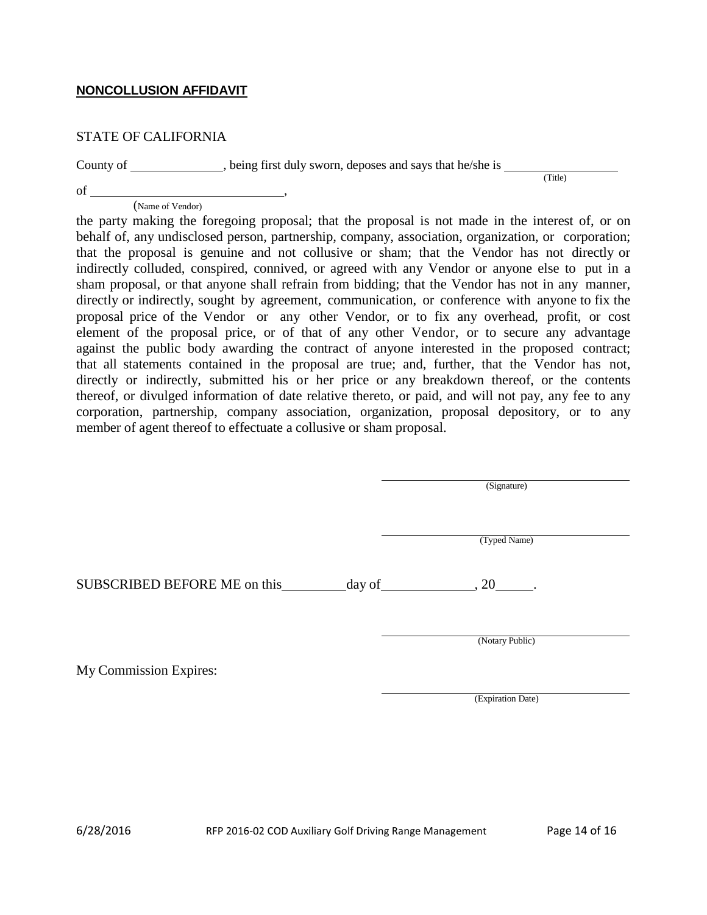## <span id="page-13-0"></span>**NONCOLLUSION AFFIDAVIT**

## STATE OF CALIFORNIA

County of \_\_\_\_\_\_\_\_\_\_, being first duly sworn, deposes and says that he/she is \_\_\_\_

(Title)

(Name of Vendor)

of ,

the party making the foregoing proposal; that the proposal is not made in the interest of, or on behalf of, any undisclosed person, partnership, company, association, organization, or corporation; that the proposal is genuine and not collusive or sham; that the Vendor has not directly or indirectly colluded, conspired, connived, or agreed with any Vendor or anyone else to put in a sham proposal, or that anyone shall refrain from bidding; that the Vendor has not in any manner, directly or indirectly, sought by agreement, communication, or conference with anyone to fix the proposal price of the Vendor or any other Vendor, or to fix any overhead, profit, or cost element of the proposal price, or of that of any other Vendor, or to secure any advantage against the public body awarding the contract of anyone interested in the proposed contract; that all statements contained in the proposal are true; and, further, that the Vendor has not, directly or indirectly, submitted his or her price or any breakdown thereof, or the contents thereof, or divulged information of date relative thereto, or paid, and will not pay, any fee to any corporation, partnership, company association, organization, proposal depository, or to any member of agent thereof to effectuate a collusive or sham proposal.

(Signature)

(Typed Name)

SUBSCRIBED BEFORE ME on this day of  $\qquad \qquad$  , 20 .

(Notary Public)

My Commission Expires:

(Expiration Date)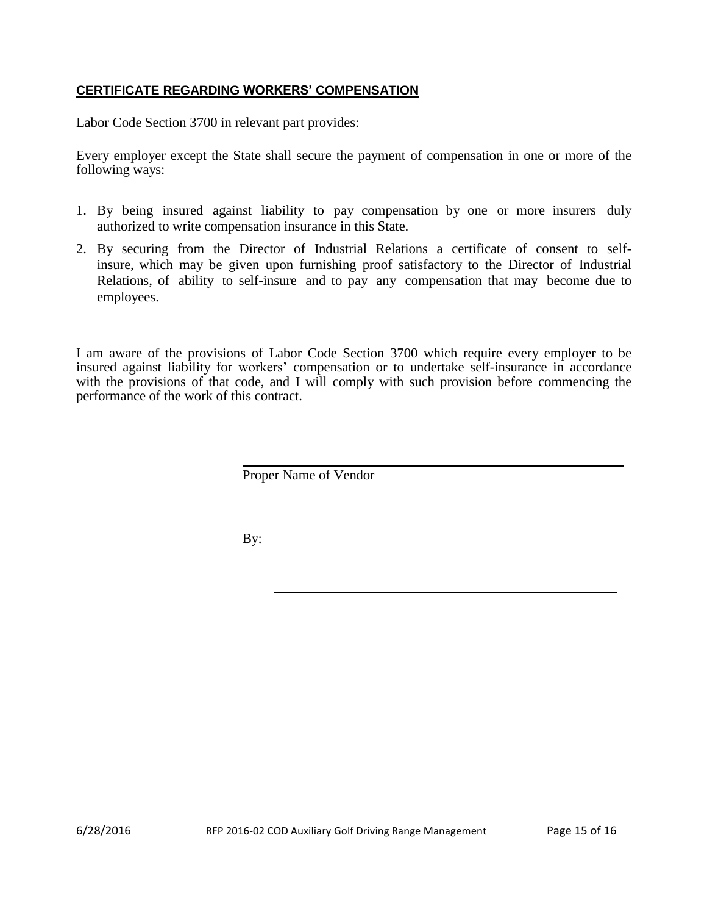## <span id="page-14-0"></span>**CERTIFICATE REGARDING WORKERS' COMPENSATION**

Labor Code Section 3700 in relevant part provides:

Every employer except the State shall secure the payment of compensation in one or more of the following ways:

- 1. By being insured against liability to pay compensation by one or more insurers duly authorized to write compensation insurance in this State.
- 2. By securing from the Director of Industrial Relations a certificate of consent to selfinsure, which may be given upon furnishing proof satisfactory to the Director of Industrial Relations, of ability to self-insure and to pay any compensation that may become due to employees.

I am aware of the provisions of Labor Code Section 3700 which require every employer to be insured against liability for workers' compensation or to undertake self-insurance in accordance with the provisions of that code, and I will comply with such provision before commencing the performance of the work of this contract.

Proper Name of Vendor

By: